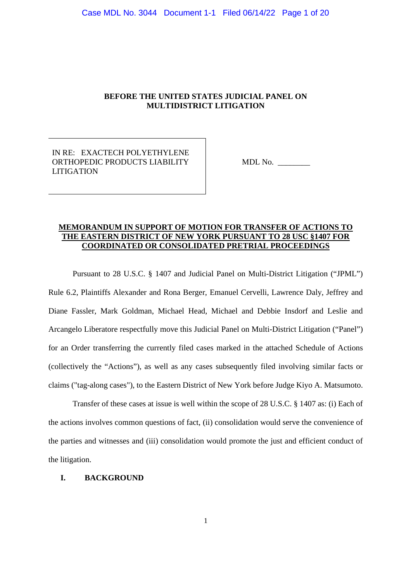# **BEFORE THE UNITED STATES JUDICIAL PANEL ON MULTIDISTRICT LITIGATION**

IN RE: EXACTECH POLYETHYLENE ORTHOPEDIC PRODUCTS LIABILITY LITIGATION

MDL No. \_\_\_\_\_\_\_\_

## **MEMORANDUM IN SUPPORT OF MOTION FOR TRANSFER OF ACTIONS TO THE EASTERN DISTRICT OF NEW YORK PURSUANT TO 28 USC §1407 FOR COORDINATED OR CONSOLIDATED PRETRIAL PROCEEDINGS**

Pursuant to 28 U.S.C. § 1407 and Judicial Panel on Multi-District Litigation ("JPML") Rule 6.2, Plaintiffs Alexander and Rona Berger, Emanuel Cervelli, Lawrence Daly, Jeffrey and Diane Fassler, Mark Goldman, Michael Head, Michael and Debbie Insdorf and Leslie and Arcangelo Liberatore respectfully move this Judicial Panel on Multi-District Litigation ("Panel") for an Order transferring the currently filed cases marked in the attached Schedule of Actions (collectively the "Actions"), as well as any cases subsequently filed involving similar facts or claims ("tag-along cases"), to the Eastern District of New York before Judge Kiyo A. Matsumoto.

Transfer of these cases at issue is well within the scope of 28 U.S.C. § 1407 as: (i) Each of the actions involves common questions of fact, (ii) consolidation would serve the convenience of the parties and witnesses and (iii) consolidation would promote the just and efficient conduct of the litigation.

### **I. BACKGROUND**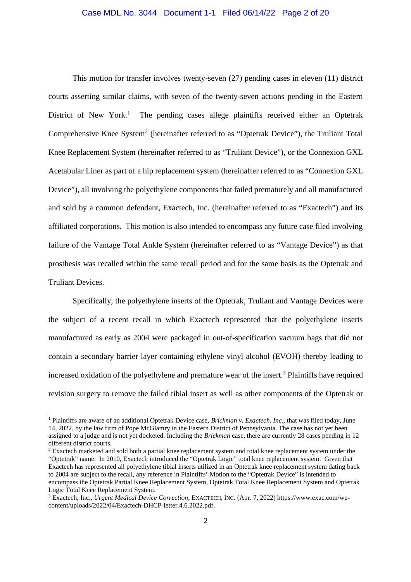This motion for transfer involves twenty-seven (27) pending cases in eleven (11) district courts asserting similar claims, with seven of the twenty-seven actions pending in the Eastern District of New York.<sup>1</sup> The pending cases allege plaintiffs received either an Optetrak Comprehensive Knee System<sup>2</sup> (hereinafter referred to as "Optetrak Device"), the Truliant Total Knee Replacement System (hereinafter referred to as "Truliant Device"), or the Connexion GXL Acetabular Liner as part of a hip replacement system (hereinafter referred to as "Connexion GXL Device"), all involving the polyethylene components that failed prematurely and all manufactured and sold by a common defendant, Exactech, Inc. (hereinafter referred to as "Exactech") and its affiliated corporations. This motion is also intended to encompass any future case filed involving failure of the Vantage Total Ankle System (hereinafter referred to as "Vantage Device") as that prosthesis was recalled within the same recall period and for the same basis as the Optetrak and Truliant Devices.

Specifically, the polyethylene inserts of the Optetrak, Truliant and Vantage Devices were the subject of a recent recall in which Exactech represented that the polyethylene inserts manufactured as early as 2004 were packaged in out-of-specification vacuum bags that did not contain a secondary barrier layer containing ethylene vinyl alcohol (EVOH) thereby leading to increased oxidation of the polyethylene and premature wear of the insert.<sup>3</sup> Plaintiffs have required revision surgery to remove the failed tibial insert as well as other components of the Optetrak or

<sup>1</sup> Plaintiffs are aware of an additional Optetrak Device case, *Brickman v. Exactech. Inc.,* that was filed today, June 14, 2022, by the law firm of Pope McGlamry in the Eastern District of Pennsylvania. The case has not yet been assigned to a judge and is not yet docketed. Including the *Brickman* case, there are currently 28 cases pending in 12 different district courts.

<sup>&</sup>lt;sup>2</sup> Exactech marketed and sold both a partial knee replacement system and total knee replacement system under the "Optetrak" name. In 2010, Exactech introduced the "Optetrak Logic" total knee replacement system. Given that Exactech has represented all polyethylene tibial inserts utilized in an Optetrak knee replacement system dating back to 2004 are subject to the recall, any reference in Plaintiffs' Motion to the "Optetrak Device" is intended to encompass the Optetrak Partial Knee Replacement System, Optetrak Total Knee Replacement System and Optetrak Logic Total Knee Replacement System.

<sup>3</sup> Exactech, Inc., *Urgent Medical Device Correction*, EXACTECH, INC. (Apr. 7, 2022) https://www.exac.com/wpcontent/uploads/2022/04/Exactech-DHCP-letter.4.6.2022.pdf.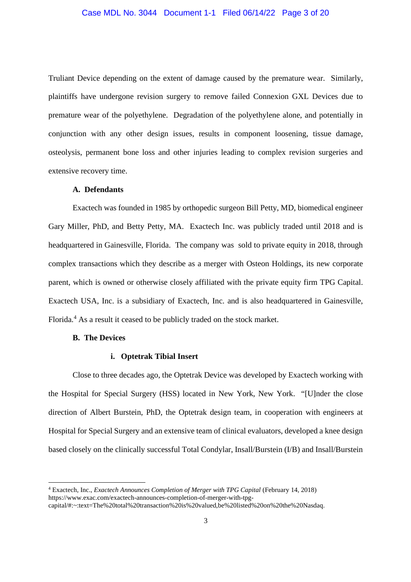Truliant Device depending on the extent of damage caused by the premature wear. Similarly, plaintiffs have undergone revision surgery to remove failed Connexion GXL Devices due to premature wear of the polyethylene. Degradation of the polyethylene alone, and potentially in conjunction with any other design issues, results in component loosening, tissue damage, osteolysis, permanent bone loss and other injuries leading to complex revision surgeries and extensive recovery time.

#### **A. Defendants**

Exactech was founded in 1985 by orthopedic surgeon Bill Petty, MD, biomedical engineer Gary Miller, PhD, and Betty Petty, MA. Exactech Inc. was publicly traded until 2018 and is headquartered in Gainesville, Florida. The company was sold to private equity in 2018, through complex transactions which they describe as a merger with Osteon Holdings, its new corporate parent, which is owned or otherwise closely affiliated with the private equity firm TPG Capital. Exactech USA, Inc. is a subsidiary of Exactech, Inc. and is also headquartered in Gainesville, Florida.<sup>4</sup> As a result it ceased to be publicly traded on the stock market.

#### **B. The Devices**

#### **i. Optetrak Tibial Insert**

Close to three decades ago, the Optetrak Device was developed by Exactech working with the Hospital for Special Surgery (HSS) located in New York, New York. "[U]nder the close direction of Albert Burstein, PhD, the Optetrak design team, in cooperation with engineers at Hospital for Special Surgery and an extensive team of clinical evaluators, developed a knee design based closely on the clinically successful Total Condylar, Insall/Burstein (I/B) and Insall/Burstein

<sup>4</sup> Exactech, Inc., *Exactech Announces Completion of Merger with TPG Capital* (February 14, 2018) https://www.exac.com/exactech-announces-completion-of-merger-with-tpgcapital/#:~:text=The%20total%20transaction%20is%20valued,be%20listed%20on%20the%20Nasdaq.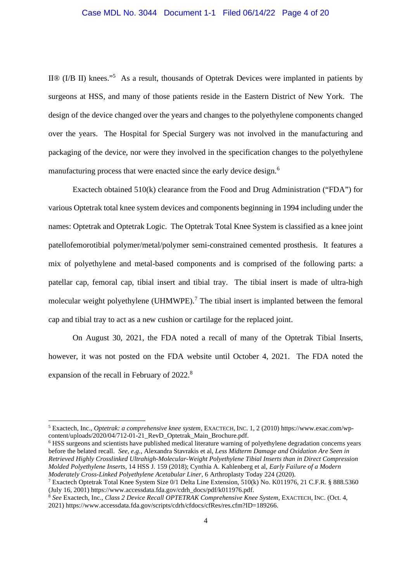# Case MDL No. 3044 Document 1-1 Filed 06/14/22 Page 4 of 20

II® (I/B II) knees."<sup>5</sup> As a result, thousands of Optetrak Devices were implanted in patients by surgeons at HSS, and many of those patients reside in the Eastern District of New York. The design of the device changed over the years and changes to the polyethylene components changed over the years. The Hospital for Special Surgery was not involved in the manufacturing and packaging of the device, nor were they involved in the specification changes to the polyethylene manufacturing process that were enacted since the early device design.<sup>6</sup>

Exactech obtained 510(k) clearance from the Food and Drug Administration ("FDA") for various Optetrak total knee system devices and components beginning in 1994 including under the names: Optetrak and Optetrak Logic. The Optetrak Total Knee System is classified as a knee joint patellofemorotibial polymer/metal/polymer semi-constrained cemented prosthesis. It features a mix of polyethylene and metal-based components and is comprised of the following parts: a patellar cap, femoral cap, tibial insert and tibial tray. The tibial insert is made of ultra-high molecular weight polyethylene (UHMWPE).<sup>7</sup> The tibial insert is implanted between the femoral cap and tibial tray to act as a new cushion or cartilage for the replaced joint.

On August 30, 2021, the FDA noted a recall of many of the Optetrak Tibial Inserts, however, it was not posted on the FDA website until October 4, 2021. The FDA noted the expansion of the recall in February of 2022.<sup>8</sup>

<sup>6</sup> HSS surgeons and scientists have published medical literature warning of polyethylene degradation concerns years before the belated recall. *See, e.g.*, Alexandra Stavrakis et al, *Less Midterm Damage and Oxidation Are Seen in Retrieved Highly Crosslinked Ultrahigh-Molecular-Weight Polyethylene Tibial Inserts than in Direct Compression Molded Polyethylene Inserts*, 14 HSS J. 159 (2018); Cynthia A. Kahlenberg et al, *Early Failure of a Modern Moderately Cross-Linked Polyethylene Acetabular Liner*, 6 Arthroplasty Today 224 (2020).

<sup>5</sup> Exactech, Inc., *Optetrak: a comprehensive knee system*, EXACTECH, INC. 1, 2 (2010) https://www.exac.com/wpcontent/uploads/2020/04/712-01-21\_RevD\_Optetrak\_Main\_Brochure.pdf.

<sup>7</sup> Exactech Optetrak Total Knee System Size 0/1 Delta Line Extension, 510(k) No. K011976, 21 C.F.R. § 888.5360 (July 16, 2001) https://www.accessdata.fda.gov/cdrh\_docs/pdf/k011976.pdf.

<sup>8</sup> *See* Exactech, Inc., *Class 2 Device Recall OPTETRAK Comprehensive Knee System*, EXACTECH, INC. (Oct. 4, 2021) https://www.accessdata.fda.gov/scripts/cdrh/cfdocs/cfRes/res.cfm?ID=189266.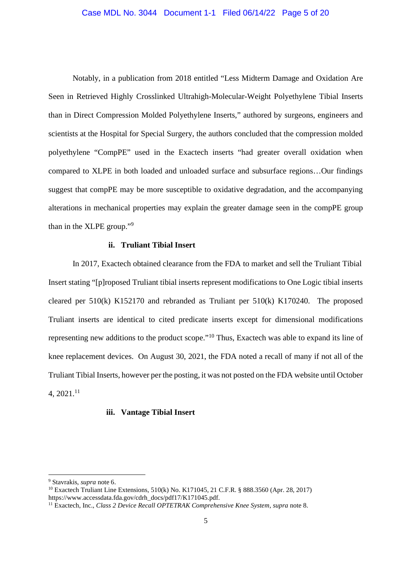Notably, in a publication from 2018 entitled "Less Midterm Damage and Oxidation Are Seen in Retrieved Highly Crosslinked Ultrahigh-Molecular-Weight Polyethylene Tibial Inserts than in Direct Compression Molded Polyethylene Inserts," authored by surgeons, engineers and scientists at the Hospital for Special Surgery, the authors concluded that the compression molded polyethylene "CompPE" used in the Exactech inserts "had greater overall oxidation when compared to XLPE in both loaded and unloaded surface and subsurface regions…Our findings suggest that compPE may be more susceptible to oxidative degradation, and the accompanying alterations in mechanical properties may explain the greater damage seen in the compPE group than in the XLPE group."<sup>9</sup>

#### **ii. Truliant Tibial Insert**

In 2017, Exactech obtained clearance from the FDA to market and sell the Truliant Tibial Insert stating "[p]roposed Truliant tibial inserts represent modifications to One Logic tibial inserts cleared per 510(k) K152170 and rebranded as Truliant per 510(k) K170240. The proposed Truliant inserts are identical to cited predicate inserts except for dimensional modifications representing new additions to the product scope."<sup>10</sup> Thus, Exactech was able to expand its line of knee replacement devices. On August 30, 2021, the FDA noted a recall of many if not all of the Truliant Tibial Inserts, however per the posting, it was not posted on the FDA website until October 4, 2021.<sup>11</sup>

# **iii. Vantage Tibial Insert**

<sup>9</sup> Stavrakis, *supra* note 6.

<sup>10</sup> Exactech Truliant Line Extensions, 510(k) No. K171045, 21 C.F.R. § 888.3560 (Apr. 28, 2017) https://www.accessdata.fda.gov/cdrh\_docs/pdf17/K171045.pdf.

<sup>11</sup> Exactech, Inc., *Class 2 Device Recall OPTETRAK Comprehensive Knee System*, *supra* note 8.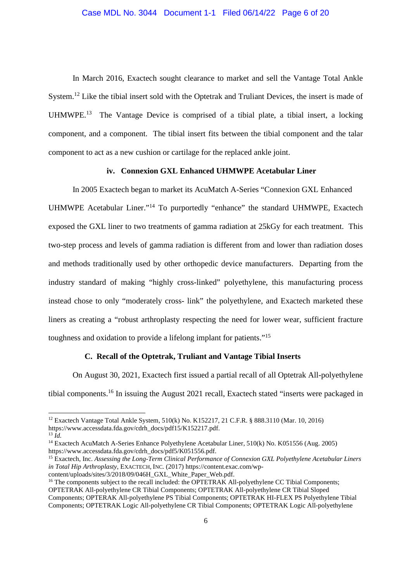In March 2016, Exactech sought clearance to market and sell the Vantage Total Ankle System.<sup>12</sup> Like the tibial insert sold with the Optetrak and Truliant Devices, the insert is made of UHMWPE<sup>13</sup> The Vantage Device is comprised of a tibial plate, a tibial insert, a locking component, and a component. The tibial insert fits between the tibial component and the talar component to act as a new cushion or cartilage for the replaced ankle joint.

#### **iv. Connexion GXL Enhanced UHMWPE Acetabular Liner**

In 2005 Exactech began to market its AcuMatch A-Series "Connexion GXL Enhanced UHMWPE Acetabular Liner."<sup>14</sup> To purportedly "enhance" the standard UHMWPE, Exactech exposed the GXL liner to two treatments of gamma radiation at 25kGy for each treatment. This two-step process and levels of gamma radiation is different from and lower than radiation doses and methods traditionally used by other orthopedic device manufacturers. Departing from the industry standard of making "highly cross-linked" polyethylene, this manufacturing process instead chose to only "moderately cross- link" the polyethylene, and Exactech marketed these liners as creating a "robust arthroplasty respecting the need for lower wear, sufficient fracture toughness and oxidation to provide a lifelong implant for patients."<sup>15</sup>

# **C. Recall of the Optetrak, Truliant and Vantage Tibial Inserts**

On August 30, 2021, Exactech first issued a partial recall of all Optetrak All-polyethylene tibial components.<sup>16</sup> In issuing the August 2021 recall, Exactech stated "inserts were packaged in

<sup>12</sup> Exactech Vantage Total Ankle System, 510(k) No. K152217, 21 C.F.R. § 888.3110 (Mar. 10, 2016) https://www.accessdata.fda.gov/cdrh\_docs/pdf15/K152217.pdf.

 $^{13}$   $\tilde{I}$ *d*.

<sup>14</sup> Exactech AcuMatch A-Series Enhance Polyethylene Acetabular Liner, 510(k) No. K051556 (Aug. 2005) https://www.accessdata.fda.gov/cdrh\_docs/pdf5/K051556.pdf.

<sup>15</sup> Exactech, Inc. *Assessing the Long-Term Clinical Performance of Connexion GXL Polyethylene Acetabular Liners in Total Hip Arthroplasty*, EXACTECH, INC. (2017) https://content.exac.com/wpcontent/uploads/sites/3/2018/09/046H\_GXL\_White\_Paper\_Web.pdf.

<sup>&</sup>lt;sup>16</sup> The components subject to the recall included: the OPTETRAK All-polyethylene CC Tibial Components; OPTETRAK All-polyethylene CR Tibial Components; OPTETRAK All-polyethylene CR Tibial Sloped Components; OPTERAK All-polyethylene PS Tibial Components; OPTETRAK HI-FLEX PS Polyethylene Tibial Components; OPTETRAK Logic All-polyethylene CR Tibial Components; OPTETRAK Logic All-polyethylene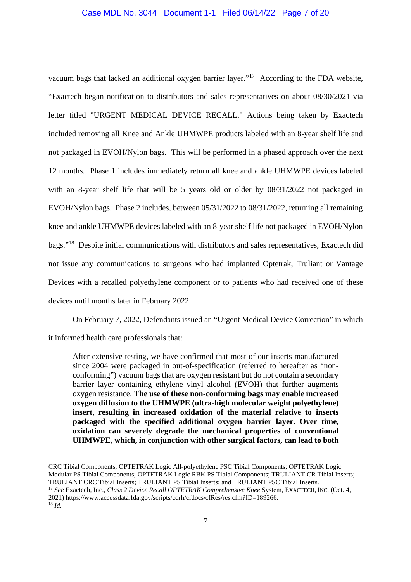vacuum bags that lacked an additional oxygen barrier layer."<sup>17</sup> According to the FDA website, "Exactech began notification to distributors and sales representatives on about 08/30/2021 via letter titled "URGENT MEDICAL DEVICE RECALL." Actions being taken by Exactech included removing all Knee and Ankle UHMWPE products labeled with an 8-year shelf life and not packaged in EVOH/Nylon bags. This will be performed in a phased approach over the next 12 months. Phase 1 includes immediately return all knee and ankle UHMWPE devices labeled with an 8-year shelf life that will be 5 years old or older by 08/31/2022 not packaged in EVOH/Nylon bags. Phase 2 includes, between 05/31/2022 to 08/31/2022, returning all remaining knee and ankle UHMWPE devices labeled with an 8-year shelf life not packaged in EVOH/Nylon bags."<sup>18</sup> Despite initial communications with distributors and sales representatives, Exactech did not issue any communications to surgeons who had implanted Optetrak, Truliant or Vantage Devices with a recalled polyethylene component or to patients who had received one of these devices until months later in February 2022.

On February 7, 2022, Defendants issued an "Urgent Medical Device Correction" in which it informed health care professionals that:

After extensive testing, we have confirmed that most of our inserts manufactured since 2004 were packaged in out-of-specification (referred to hereafter as "nonconforming") vacuum bags that are oxygen resistant but do not contain a secondary barrier layer containing ethylene vinyl alcohol (EVOH) that further augments oxygen resistance. **The use of these non-conforming bags may enable increased oxygen diffusion to the UHMWPE (ultra-high molecular weight polyethylene) insert, resulting in increased oxidation of the material relative to inserts packaged with the specified additional oxygen barrier layer. Over time, oxidation can severely degrade the mechanical properties of conventional UHMWPE, which, in conjunction with other surgical factors, can lead to both**

CRC Tibial Components; OPTETRAK Logic All-polyethylene PSC Tibial Components; OPTETRAK Logic Modular PS Tibial Components; OPTETRAK Logic RBK PS Tibial Components; TRULIANT CR Tibial Inserts; TRULIANT CRC Tibial Inserts; TRULIANT PS Tibial Inserts; and TRULIANT PSC Tibial Inserts.

<sup>17</sup> *See* Exactech, Inc., *Class 2 Device Recall OPTETRAK Comprehensive Knee* System, EXACTECH, INC. (Oct. 4, 2021) https://www.accessdata.fda.gov/scripts/cdrh/cfdocs/cfRes/res.cfm?ID=189266.

<sup>18</sup> *Id.*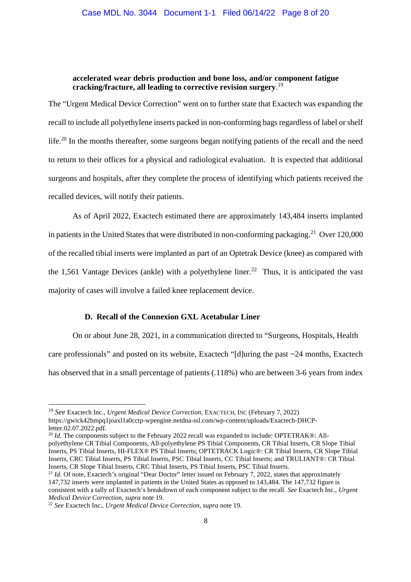### **accelerated wear debris production and bone loss, and/or component fatigue cracking/fracture, all leading to corrective revision surgery**. 19

The "Urgent Medical Device Correction" went on to further state that Exactech was expanding the recall to include all polyethylene inserts packed in non-conforming bags regardless of label or shelf life.<sup>20</sup> In the months thereafter, some surgeons began notifying patients of the recall and the need to return to their offices for a physical and radiological evaluation. It is expected that additional surgeons and hospitals, after they complete the process of identifying which patients received the recalled devices, will notify their patients.

As of April 2022, Exactech estimated there are approximately 143,484 inserts implanted in patients in the United States that were distributed in non-conforming packaging.<sup>21</sup> Over 120,000 of the recalled tibial inserts were implanted as part of an Optetrak Device (knee) as compared with the 1,561 Vantage Devices (ankle) with a polyethylene liner.<sup>22</sup> Thus, it is anticipated the vast majority of cases will involve a failed knee replacement device.

### **D. Recall of the Connexion GXL Acetabular Liner**

On or about June 28, 2021, in a communication directed to "Surgeons, Hospitals, Health care professionals" and posted on its website, Exactech "[d]uring the past ~24 months, Exactech has observed that in a small percentage of patients (.118%) who are between 3-6 years from index

<sup>20</sup> *Id.* The components subject to the February 2022 recall was expanded to include: OPTETRAK®: Allpolyethylene CR Tibial Components, All-polyethylene PS Tibial Components, CR Tibial Inserts, CR Slope Tibial Inserts, PS Tibial Inserts, HI-FLEX® PS Tibial Inserts; OPTETRACK Logic®: CR Tibial Inserts, CR Slope Tibial Inserts, CRC Tibial Inserts, PS Tibial Inserts, PSC Tibial Inserts, CC Tibial Inserts; and TRULIANT®: CR Tibial Inserts, CR Slope Tibial Inserts, CRC Tibial Inserts, PS Tibial Inserts, PSC Tibial Inserts.

<sup>21</sup> *Id.* Of note, Exactech's original "Dear Doctor" letter issued on February 7, 2022, states that approximately 147,732 inserts were implanted in patients in the United States as opposed to 143,484. The 147,732 figure is consistent with a tally of Exactech's breakdown of each component subject to the recall. *See* Exactech Inc., *Urgent Medical Device Correction, supra* note 19.

<sup>19</sup> *See* Exactech Inc., *Urgent Medical Device Correction*, EXACTECH, INC (February 7, 2022) https://gwick42bmpq1joaxl1a0cctp-wpengine.netdna-ssl.com/wp-content/uploads/Exactech-DHCPletter.02.07.2022.pdf.

<sup>22</sup> *See* Exactech Inc., *Urgent Medical Device Correction, supra* note 19.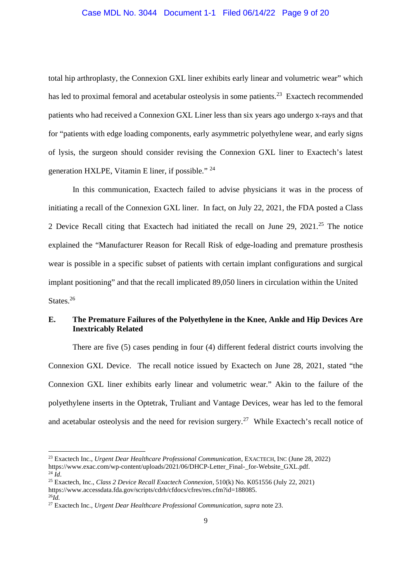## Case MDL No. 3044 Document 1-1 Filed 06/14/22 Page 9 of 20

total hip arthroplasty, the Connexion GXL liner exhibits early linear and volumetric wear" which has led to proximal femoral and acetabular osteolysis in some patients.<sup>23</sup> Exactech recommended patients who had received a Connexion GXL Liner less than six years ago undergo x-rays and that for "patients with edge loading components, early asymmetric polyethylene wear, and early signs of lysis, the surgeon should consider revising the Connexion GXL liner to Exactech's latest generation HXLPE, Vitamin E liner, if possible." <sup>24</sup>

In this communication, Exactech failed to advise physicians it was in the process of initiating a recall of the Connexion GXL liner. In fact, on July 22, 2021, the FDA posted a Class 2 Device Recall citing that Exactech had initiated the recall on June 29, 2021.<sup>25</sup> The notice explained the "Manufacturer Reason for Recall Risk of edge-loading and premature prosthesis wear is possible in a specific subset of patients with certain implant configurations and surgical implant positioning" and that the recall implicated 89,050 liners in circulation within the United States.<sup>26</sup>

# **E. The Premature Failures of the Polyethylene in the Knee, Ankle and Hip Devices Are Inextricably Related**

There are five (5) cases pending in four (4) different federal district courts involving the Connexion GXL Device. The recall notice issued by Exactech on June 28, 2021, stated "the Connexion GXL liner exhibits early linear and volumetric wear." Akin to the failure of the polyethylene inserts in the Optetrak, Truliant and Vantage Devices, wear has led to the femoral and acetabular osteolysis and the need for revision surgery.<sup>27</sup> While Exactech's recall notice of

<sup>23</sup> Exactech Inc., *Urgent Dear Healthcare Professional Communication*, EXACTECH, INC (June 28, 2022) https://www.exac.com/wp-content/uploads/2021/06/DHCP-Letter\_Final-\_for-Website\_GXL.pdf.  $^{24}$  *Id*.

<sup>25</sup> Exactech, Inc., *Class 2 Device Recall Exactech Connexion*, 510(k) No. K051556 (July 22, 2021) https://www.accessdata.fda.gov/scripts/cdrh/cfdocs/cfres/res.cfm?id=188085.  $^{26}Id$ .

<sup>27</sup> Exactech Inc., *Urgent Dear Healthcare Professional Communication, supra* note 23.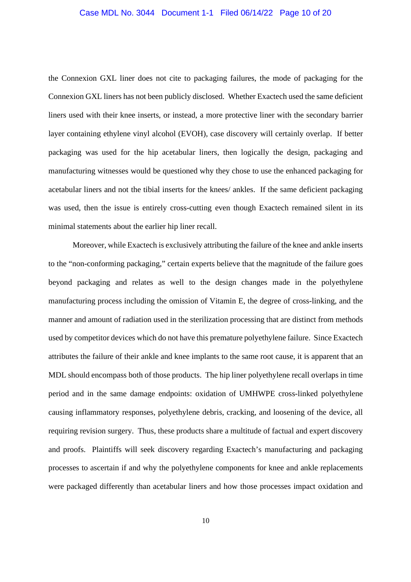# Case MDL No. 3044 Document 1-1 Filed 06/14/22 Page 10 of 20

the Connexion GXL liner does not cite to packaging failures, the mode of packaging for the Connexion GXL liners has not been publicly disclosed. Whether Exactech used the same deficient liners used with their knee inserts, or instead, a more protective liner with the secondary barrier layer containing ethylene vinyl alcohol (EVOH), case discovery will certainly overlap. If better packaging was used for the hip acetabular liners, then logically the design, packaging and manufacturing witnesses would be questioned why they chose to use the enhanced packaging for acetabular liners and not the tibial inserts for the knees/ ankles. If the same deficient packaging was used, then the issue is entirely cross-cutting even though Exactech remained silent in its minimal statements about the earlier hip liner recall.

Moreover, while Exactech is exclusively attributing the failure of the knee and ankle inserts to the "non-conforming packaging," certain experts believe that the magnitude of the failure goes beyond packaging and relates as well to the design changes made in the polyethylene manufacturing process including the omission of Vitamin E, the degree of cross-linking, and the manner and amount of radiation used in the sterilization processing that are distinct from methods used by competitor devices which do not have this premature polyethylene failure. Since Exactech attributes the failure of their ankle and knee implants to the same root cause, it is apparent that an MDL should encompass both of those products. The hip liner polyethylene recall overlaps in time period and in the same damage endpoints: oxidation of UMHWPE cross-linked polyethylene causing inflammatory responses, polyethylene debris, cracking, and loosening of the device, all requiring revision surgery. Thus, these products share a multitude of factual and expert discovery and proofs. Plaintiffs will seek discovery regarding Exactech's manufacturing and packaging processes to ascertain if and why the polyethylene components for knee and ankle replacements were packaged differently than acetabular liners and how those processes impact oxidation and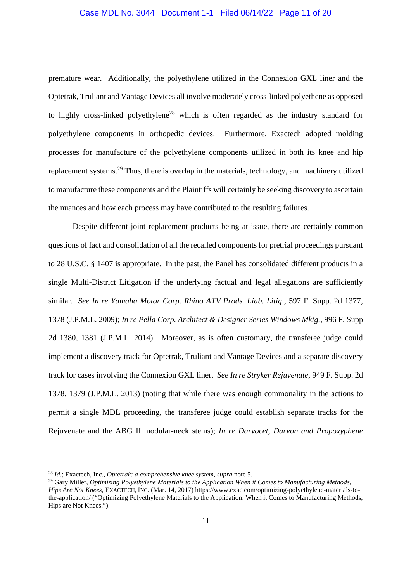# Case MDL No. 3044 Document 1-1 Filed 06/14/22 Page 11 of 20

premature wear. Additionally, the polyethylene utilized in the Connexion GXL liner and the Optetrak, Truliant and Vantage Devices all involve moderately cross-linked polyethene as opposed to highly cross-linked polyethylene<sup>28</sup> which is often regarded as the industry standard for polyethylene components in orthopedic devices. Furthermore, Exactech adopted molding processes for manufacture of the polyethylene components utilized in both its knee and hip replacement systems.<sup>29</sup> Thus, there is overlap in the materials, technology, and machinery utilized to manufacture these components and the Plaintiffs will certainly be seeking discovery to ascertain the nuances and how each process may have contributed to the resulting failures.

Despite different joint replacement products being at issue, there are certainly common questions of fact and consolidation of all the recalled components for pretrial proceedings pursuant to 28 U.S.C. § 1407 is appropriate. In the past, the Panel has consolidated different products in a single Multi-District Litigation if the underlying factual and legal allegations are sufficiently similar. *See In re Yamaha Motor Corp. Rhino ATV Prods. Liab. Litig*., 597 F. Supp. 2d 1377, 1378 (J.P.M.L. 2009); *In re Pella Corp. Architect & Designer Series Windows Mktg.*, 996 F. Supp 2d 1380, 1381 (J.P.M.L. 2014). Moreover, as is often customary, the transferee judge could implement a discovery track for Optetrak, Truliant and Vantage Devices and a separate discovery track for cases involving the Connexion GXL liner. *See In re Stryker Rejuvenate*, 949 F. Supp. 2d 1378, 1379 (J.P.M.L. 2013) (noting that while there was enough commonality in the actions to permit a single MDL proceeding, the transferee judge could establish separate tracks for the Rejuvenate and the ABG II modular-neck stems); *In re Darvocet, Darvon and Propoxyphene*

<sup>28</sup> *Id.*; Exactech, Inc., *Optetrak: a comprehensive knee system, supra* note 5.

<sup>29</sup> Gary Miller, *Optimizing Polyethylene Materials to the Application When it Comes to Manufacturing Methods, Hips Are Not Knees*, EXACTECH, INC. (Mar. 14, 2017) https://www.exac.com/optimizing-polyethylene-materials-tothe-application/ ("Optimizing Polyethylene Materials to the Application: When it Comes to Manufacturing Methods, Hips are Not Knees.").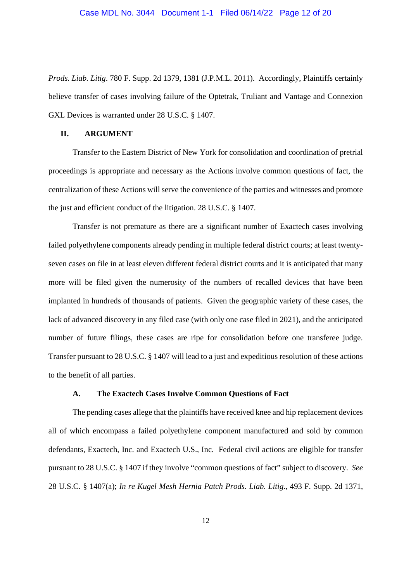*Prods. Liab. Litig*. 780 F. Supp. 2d 1379, 1381 (J.P.M.L. 2011). Accordingly, Plaintiffs certainly believe transfer of cases involving failure of the Optetrak, Truliant and Vantage and Connexion GXL Devices is warranted under 28 U.S.C. § 1407.

## **II. ARGUMENT**

Transfer to the Eastern District of New York for consolidation and coordination of pretrial proceedings is appropriate and necessary as the Actions involve common questions of fact, the centralization of these Actions will serve the convenience of the parties and witnesses and promote the just and efficient conduct of the litigation. 28 U.S.C. § 1407.

Transfer is not premature as there are a significant number of Exactech cases involving failed polyethylene components already pending in multiple federal district courts; at least twentyseven cases on file in at least eleven different federal district courts and it is anticipated that many more will be filed given the numerosity of the numbers of recalled devices that have been implanted in hundreds of thousands of patients. Given the geographic variety of these cases, the lack of advanced discovery in any filed case (with only one case filed in 2021), and the anticipated number of future filings, these cases are ripe for consolidation before one transferee judge. Transfer pursuant to 28 U.S.C. § 1407 will lead to a just and expeditious resolution of these actions to the benefit of all parties.

#### **A. The Exactech Cases Involve Common Questions of Fact**

The pending cases allege that the plaintiffs have received knee and hip replacement devices all of which encompass a failed polyethylene component manufactured and sold by common defendants, Exactech, Inc. and Exactech U.S., Inc. Federal civil actions are eligible for transfer pursuant to 28 U.S.C. § 1407 if they involve "common questions of fact" subject to discovery. *See* 28 U.S.C. § 1407(a); *In re Kugel Mesh Hernia Patch Prods. Liab. Litig*., 493 F. Supp. 2d 1371,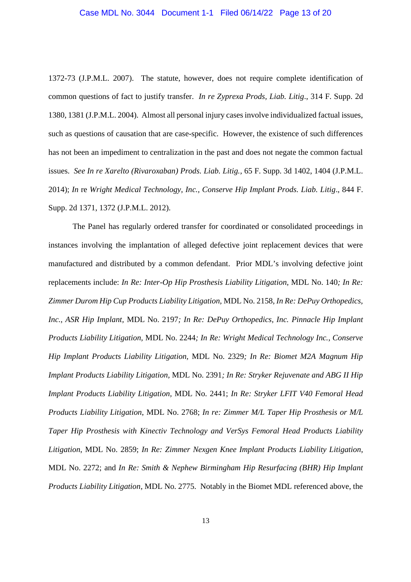1372-73 (J.P.M.L. 2007). The statute, however, does not require complete identification of common questions of fact to justify transfer. *In re Zyprexa Prods, Liab. Litig*., 314 F. Supp. 2d 1380, 1381 (J.P.M.L. 2004). Almost all personal injury cases involve individualized factual issues, such as questions of causation that are case-specific. However, the existence of such differences has not been an impediment to centralization in the past and does not negate the common factual issues. *See In re Xarelto (Rivaroxaban) Prods. Liab. Litig.,* 65 F. Supp. 3d 1402, 1404 (J.P.M.L. 2014); *In* re *Wright Medical Technology, Inc., Conserve Hip Implant Prods. Liab. Litig*., 844 F. Supp. 2d 1371, 1372 (J.P.M.L. 2012).

The Panel has regularly ordered transfer for coordinated or consolidated proceedings in instances involving the implantation of alleged defective joint replacement devices that were manufactured and distributed by a common defendant. Prior MDL's involving defective joint replacements include: *In Re: Inter-Op Hip Prosthesis Liability Litigation,* MDL No. 140*; In Re: Zimmer Durom Hip Cup Products Liability Litigation,* MDL No. 2158*, In Re: DePuy Orthopedics, Inc., ASR Hip Implant,* MDL No. 2197*; In Re: DePuy Orthopedics, Inc. Pinnacle Hip Implant Products Liability Litigation,* MDL No. 2244*; In Re: Wright Medical Technology Inc., Conserve Hip Implant Products Liability Litigation,* MDL No. 2329*; In Re: Biomet M2A Magnum Hip Implant Products Liability Litigation,* MDL No. 2391*; In Re: Stryker Rejuvenate and ABG II Hip Implant Products Liability Litigation,* MDL No. 2441; *In Re: Stryker LFIT V40 Femoral Head Products Liability Litigation*, MDL No. 2768; *In re: Zimmer M/L Taper Hip Prosthesis or M/L Taper Hip Prosthesis with Kinectiv Technology and VerSys Femoral Head Products Liability Litigation*, MDL No. 2859; *In Re: Zimmer Nexgen Knee Implant Products Liability Litigation*, MDL No. 2272; and *In Re: Smith & Nephew Birmingham Hip Resurfacing (BHR) Hip Implant Products Liability Litigation*, MDL No. 2775. Notably in the Biomet MDL referenced above, the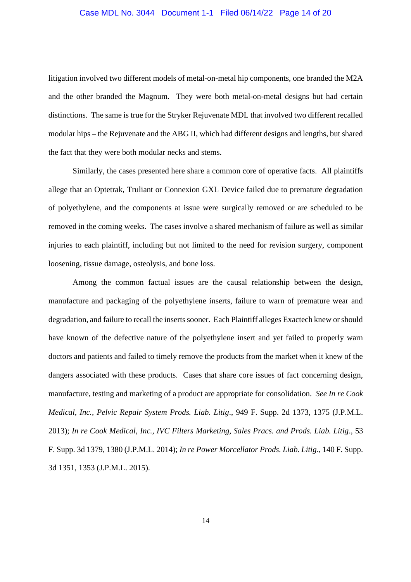## Case MDL No. 3044 Document 1-1 Filed 06/14/22 Page 14 of 20

litigation involved two different models of metal-on-metal hip components, one branded the M2A and the other branded the Magnum. They were both metal-on-metal designs but had certain distinctions. The same is true for the Stryker Rejuvenate MDL that involved two different recalled modular hips – the Rejuvenate and the ABG II, which had different designs and lengths, but shared the fact that they were both modular necks and stems.

Similarly, the cases presented here share a common core of operative facts. All plaintiffs allege that an Optetrak, Truliant or Connexion GXL Device failed due to premature degradation of polyethylene, and the components at issue were surgically removed or are scheduled to be removed in the coming weeks. The cases involve a shared mechanism of failure as well as similar injuries to each plaintiff, including but not limited to the need for revision surgery, component loosening, tissue damage, osteolysis, and bone loss.

Among the common factual issues are the causal relationship between the design, manufacture and packaging of the polyethylene inserts, failure to warn of premature wear and degradation, and failure to recall the inserts sooner. Each Plaintiff alleges Exactech knew or should have known of the defective nature of the polyethylene insert and yet failed to properly warn doctors and patients and failed to timely remove the products from the market when it knew of the dangers associated with these products. Cases that share core issues of fact concerning design, manufacture, testing and marketing of a product are appropriate for consolidation. *See In re Cook Medical, Inc., Pelvic Repair System Prods. Liab. Litig*., 949 F. Supp. 2d 1373, 1375 (J.P.M.L. 2013); *In re Cook Medical, Inc., IVC Filters Marketing, Sales Pracs. and Prods. Liab. Litig*., 53 F. Supp. 3d 1379, 1380 (J.P.M.L. 2014); *In re Power Morcellator Prods. Liab. Litig*., 140 F. Supp. 3d 1351, 1353 (J.P.M.L. 2015).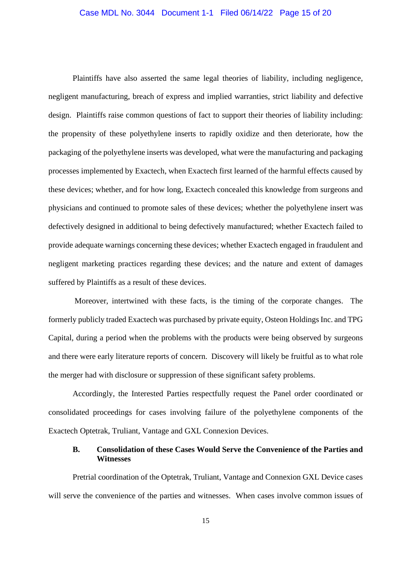## Case MDL No. 3044 Document 1-1 Filed 06/14/22 Page 15 of 20

Plaintiffs have also asserted the same legal theories of liability, including negligence, negligent manufacturing, breach of express and implied warranties, strict liability and defective design. Plaintiffs raise common questions of fact to support their theories of liability including: the propensity of these polyethylene inserts to rapidly oxidize and then deteriorate, how the packaging of the polyethylene inserts was developed, what were the manufacturing and packaging processes implemented by Exactech, when Exactech first learned of the harmful effects caused by these devices; whether, and for how long, Exactech concealed this knowledge from surgeons and physicians and continued to promote sales of these devices; whether the polyethylene insert was defectively designed in additional to being defectively manufactured; whether Exactech failed to provide adequate warnings concerning these devices; whether Exactech engaged in fraudulent and negligent marketing practices regarding these devices; and the nature and extent of damages suffered by Plaintiffs as a result of these devices.

Moreover, intertwined with these facts, is the timing of the corporate changes. The formerly publicly traded Exactech was purchased by private equity, Osteon Holdings Inc. and TPG Capital, during a period when the problems with the products were being observed by surgeons and there were early literature reports of concern. Discovery will likely be fruitful as to what role the merger had with disclosure or suppression of these significant safety problems.

Accordingly, the Interested Parties respectfully request the Panel order coordinated or consolidated proceedings for cases involving failure of the polyethylene components of the Exactech Optetrak, Truliant, Vantage and GXL Connexion Devices.

# **B. Consolidation of these Cases Would Serve the Convenience of the Parties and Witnesses**

Pretrial coordination of the Optetrak, Truliant, Vantage and Connexion GXL Device cases will serve the convenience of the parties and witnesses. When cases involve common issues of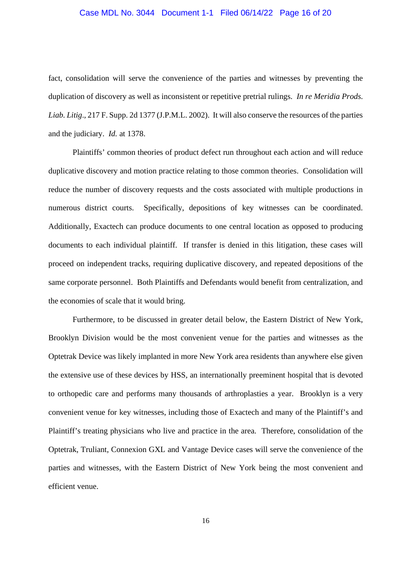# Case MDL No. 3044 Document 1-1 Filed 06/14/22 Page 16 of 20

fact, consolidation will serve the convenience of the parties and witnesses by preventing the duplication of discovery as well as inconsistent or repetitive pretrial rulings. *In re Meridia Prods. Liab. Litig*.*,* 217 F. Supp. 2d 1377 (J.P.M.L. 2002). It will also conserve the resources of the parties and the judiciary. *Id.* at 1378.

Plaintiffs' common theories of product defect run throughout each action and will reduce duplicative discovery and motion practice relating to those common theories. Consolidation will reduce the number of discovery requests and the costs associated with multiple productions in numerous district courts. Specifically, depositions of key witnesses can be coordinated. Additionally, Exactech can produce documents to one central location as opposed to producing documents to each individual plaintiff. If transfer is denied in this litigation, these cases will proceed on independent tracks, requiring duplicative discovery, and repeated depositions of the same corporate personnel. Both Plaintiffs and Defendants would benefit from centralization, and the economies of scale that it would bring.

Furthermore, to be discussed in greater detail below, the Eastern District of New York, Brooklyn Division would be the most convenient venue for the parties and witnesses as the Optetrak Device was likely implanted in more New York area residents than anywhere else given the extensive use of these devices by HSS, an internationally preeminent hospital that is devoted to orthopedic care and performs many thousands of arthroplasties a year. Brooklyn is a very convenient venue for key witnesses, including those of Exactech and many of the Plaintiff's and Plaintiff's treating physicians who live and practice in the area. Therefore, consolidation of the Optetrak, Truliant, Connexion GXL and Vantage Device cases will serve the convenience of the parties and witnesses, with the Eastern District of New York being the most convenient and efficient venue.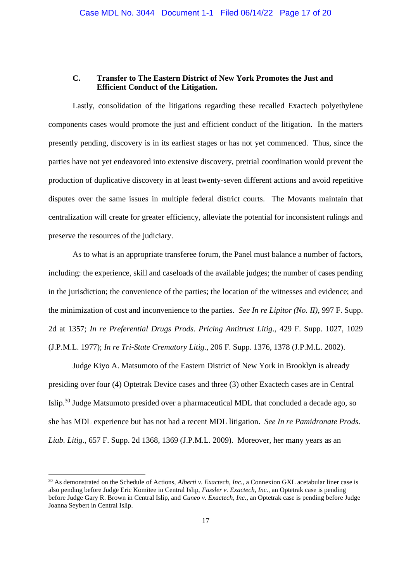### **C. Transfer to The Eastern District of New York Promotes the Just and Efficient Conduct of the Litigation.**

Lastly, consolidation of the litigations regarding these recalled Exactech polyethylene components cases would promote the just and efficient conduct of the litigation. In the matters presently pending, discovery is in its earliest stages or has not yet commenced. Thus, since the parties have not yet endeavored into extensive discovery, pretrial coordination would prevent the production of duplicative discovery in at least twenty-seven different actions and avoid repetitive disputes over the same issues in multiple federal district courts. The Movants maintain that centralization will create for greater efficiency, alleviate the potential for inconsistent rulings and preserve the resources of the judiciary.

As to what is an appropriate transferee forum, the Panel must balance a number of factors, including: the experience, skill and caseloads of the available judges; the number of cases pending in the jurisdiction; the convenience of the parties; the location of the witnesses and evidence; and the minimization of cost and inconvenience to the parties. *See In re Lipitor (No. II)*, 997 F. Supp. 2d at 1357; *In re Preferential Drugs Prods. Pricing Antitrust Litig*., 429 F. Supp. 1027, 1029 (J.P.M.L. 1977); *In re Tri-State Crematory Litig*., 206 F. Supp. 1376, 1378 (J.P.M.L. 2002).

Judge Kiyo A. Matsumoto of the Eastern District of New York in Brooklyn is already presiding over four (4) Optetrak Device cases and three (3) other Exactech cases are in Central Islip.<sup>30</sup> Judge Matsumoto presided over a pharmaceutical MDL that concluded a decade ago, so she has MDL experience but has not had a recent MDL litigation. *See In re Pamidronate Prods. Liab. Litig*., 657 F. Supp. 2d 1368, 1369 (J.P.M.L. 2009). Moreover, her many years as an

<sup>&</sup>lt;sup>30</sup> As demonstrated on the Schedule of Actions, *Alberti v. Exactech, Inc.*, a Connexion GXL acetabular liner case is also pending before Judge Eric Komitee in Central Islip, *Fassler v. Exactech, Inc.*, an Optetrak case is pending before Judge Gary R. Brown in Central Islip, and *Cuneo v. Exactech, Inc.*, an Optetrak case is pending before Judge Joanna Seybert in Central Islip.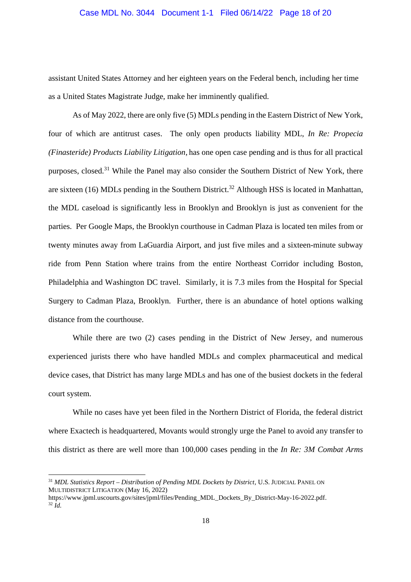# Case MDL No. 3044 Document 1-1 Filed 06/14/22 Page 18 of 20

assistant United States Attorney and her eighteen years on the Federal bench, including her time as a United States Magistrate Judge, make her imminently qualified.

As of May 2022, there are only five (5) MDLs pending in the Eastern District of New York, four of which are antitrust cases. The only open products liability MDL, *In Re: Propecia (Finasteride) Products Liability Litigation*, has one open case pending and is thus for all practical purposes, closed.<sup>31</sup> While the Panel may also consider the Southern District of New York, there are sixteen (16) MDLs pending in the Southern District.<sup>32</sup> Although HSS is located in Manhattan, the MDL caseload is significantly less in Brooklyn and Brooklyn is just as convenient for the parties. Per Google Maps, the Brooklyn courthouse in Cadman Plaza is located ten miles from or twenty minutes away from LaGuardia Airport, and just five miles and a sixteen-minute subway ride from Penn Station where trains from the entire Northeast Corridor including Boston, Philadelphia and Washington DC travel. Similarly, it is 7.3 miles from the Hospital for Special Surgery to Cadman Plaza, Brooklyn. Further, there is an abundance of hotel options walking distance from the courthouse.

While there are two (2) cases pending in the District of New Jersey, and numerous experienced jurists there who have handled MDLs and complex pharmaceutical and medical device cases, that District has many large MDLs and has one of the busiest dockets in the federal court system.

While no cases have yet been filed in the Northern District of Florida, the federal district where Exactech is headquartered, Movants would strongly urge the Panel to avoid any transfer to this district as there are well more than 100,000 cases pending in the *In Re: 3M Combat Arms*

<sup>&</sup>lt;sup>31</sup> MDL Statistics Report – Distribution of Pending MDL Dockets by District, U.S. JUDICIAL PANEL ON MULTIDISTRICT LITIGATION (May 16, 2022)

https://www.jpml.uscourts.gov/sites/jpml/files/Pending\_MDL\_Dockets\_By\_District-May-16-2022.pdf.  $32 \tilde{I}$ d.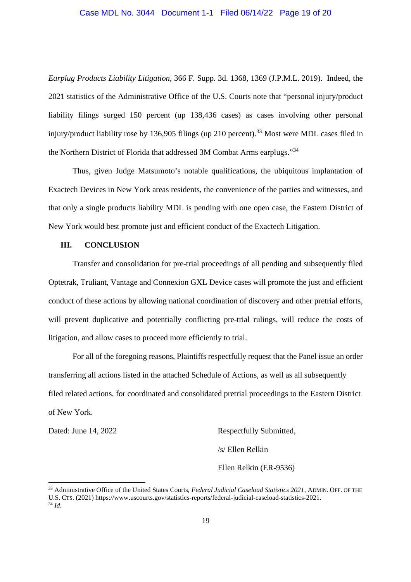# Case MDL No. 3044 Document 1-1 Filed 06/14/22 Page 19 of 20

*Earplug Products Liability Litigation*, 366 F. Supp. 3d. 1368, 1369 (J.P.M.L. 2019). Indeed, the 2021 statistics of the Administrative Office of the U.S. Courts note that "personal injury/product liability filings surged 150 percent (up 138,436 cases) as cases involving other personal injury/product liability rose by 136,905 filings (up 210 percent).<sup>33</sup> Most were MDL cases filed in the Northern District of Florida that addressed 3M Combat Arms earplugs."<sup>34</sup>

Thus, given Judge Matsumoto's notable qualifications, the ubiquitous implantation of Exactech Devices in New York areas residents, the convenience of the parties and witnesses, and that only a single products liability MDL is pending with one open case, the Eastern District of New York would best promote just and efficient conduct of the Exactech Litigation.

#### **III. CONCLUSION**

Transfer and consolidation for pre-trial proceedings of all pending and subsequently filed Optetrak, Truliant, Vantage and Connexion GXL Device cases will promote the just and efficient conduct of these actions by allowing national coordination of discovery and other pretrial efforts, will prevent duplicative and potentially conflicting pre-trial rulings, will reduce the costs of litigation, and allow cases to proceed more efficiently to trial.

For all of the foregoing reasons, Plaintiffs respectfully request that the Panel issue an order transferring all actions listed in the attached Schedule of Actions, as well as all subsequently filed related actions, for coordinated and consolidated pretrial proceedings to the Eastern District of New York.

Dated: June 14, 2022 Respectfully Submitted,

/s/ Ellen Relkin

Ellen Relkin (ER-9536)

<sup>33</sup> Administrative Office of the United States Courts, *Federal Judicial Caseload Statistics 2021*, ADMIN. OFF. OF THE U.S. CTS. (2021) https://www.uscourts.gov/statistics-reports/federal-judicial-caseload-statistics-2021. <sup>34</sup> *Id.*